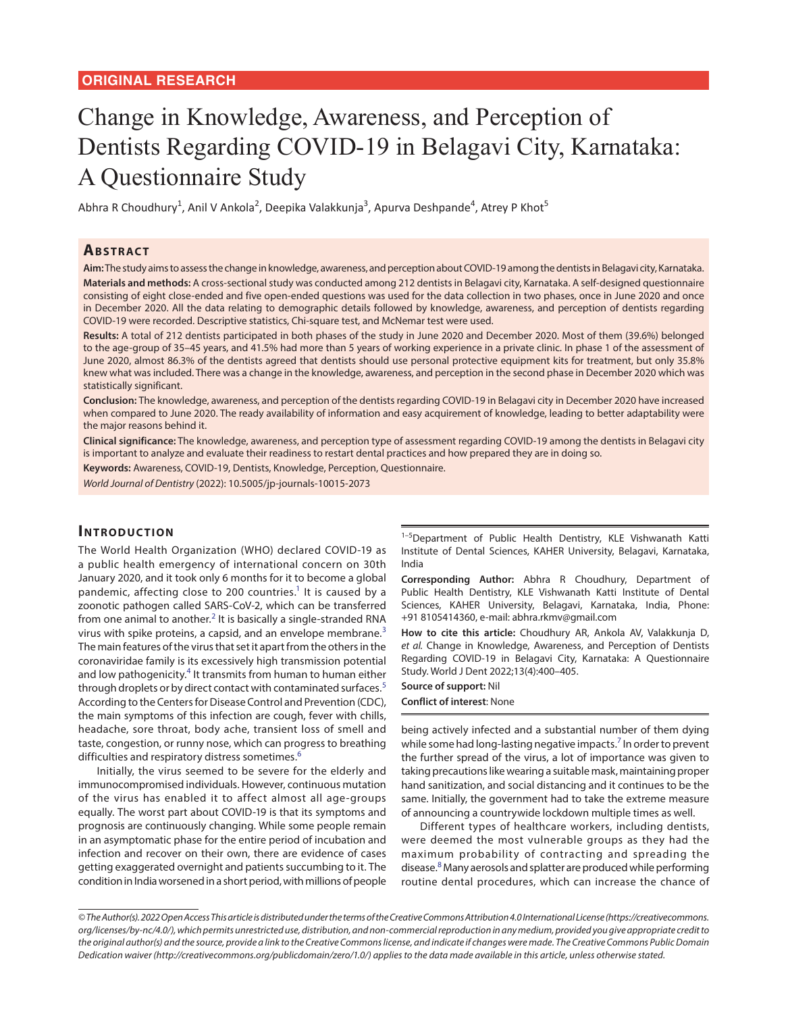# Change in Knowledge, Awareness, and Perception of Dentists Regarding COVID-19 in Belagavi City, Karnataka: A Questionnaire Study

Abhra R Choudhury<sup>1</sup>, Anil V Ankola<sup>2</sup>, Deepika Valakkunja<sup>3</sup>, Apurva Deshpande<sup>4</sup>, Atrey P Khot<sup>5</sup>

## **ABSTRACT**

**Aim:** The study aims to assess the change in knowledge, awareness, and perception about COVID-19 among the dentists in Belagavi city, Karnataka. **Materials and methods:** A cross-sectional study was conducted among 212 dentists in Belagavi city, Karnataka. A self-designed questionnaire consisting of eight close-ended and five open-ended questions was used for the data collection in two phases, once in June 2020 and once in December 2020. All the data relating to demographic details followed by knowledge, awareness, and perception of dentists regarding COVID-19 were recorded. Descriptive statistics, Chi-square test, and McNemar test were used.

**Results:** A total of 212 dentists participated in both phases of the study in June 2020 and December 2020. Most of them (39.6%) belonged to the age-group of 35–45 years, and 41.5% had more than 5 years of working experience in a private clinic. In phase 1 of the assessment of June 2020, almost 86.3% of the dentists agreed that dentists should use personal protective equipment kits for treatment, but only 35.8% knew what was included. There was a change in the knowledge, awareness, and perception in the second phase in December 2020 which was statistically significant.

**Conclusion:** The knowledge, awareness, and perception of the dentists regarding COVID-19 in Belagavi city in December 2020 have increased when compared to June 2020. The ready availability of information and easy acquirement of knowledge, leading to better adaptability were the major reasons behind it.

**Clinical significance:** The knowledge, awareness, and perception type of assessment regarding COVID-19 among the dentists in Belagavi city is important to analyze and evaluate their readiness to restart dental practices and how prepared they are in doing so.

**Keywords:** Awareness, COVID-19, Dentists, Knowledge, Perception, Questionnaire.

*World Journal of Dentistry* (2022): 10.5005/jp-journals-10015-2073

## **INTRODUCTION**

The World Health Organization (WHO) declared COVID-19 as a public health emergency of international concern on 30th January 2020, and it took only 6 months for it to become a global pandemic, affecting close to 200 countries.<sup>1</sup> It is caused by a zoonotic pathogen called SARS-CoV-2, which can be transferred from one animal to another.<sup>[2](#page-4-3)</sup> It is basically a single-stranded RNA virus with spike proteins, a capsid, and an envelope membrane. $3$ The main features of the virus that set it apart from the others in the coronaviridae family is its excessively high transmission potential and low pathogenicity.<sup>[4](#page-4-5)</sup> It transmits from human to human either through droplets or by direct contact with contaminated surfaces.<sup>[5](#page-4-6)</sup> According to the Centers for Disease Control and Prevention (CDC), the main symptoms of this infection are cough, fever with chills, headache, sore throat, body ache, transient loss of smell and taste, congestion, or runny nose, which can progress to breathing difficulties and respiratory distress sometimes.<sup>[6](#page-4-7)</sup>

Initially, the virus seemed to be severe for the elderly and immunocompromised individuals. However, continuous mutation of the virus has enabled it to affect almost all age-groups equally. The worst part about COVID-19 is that its symptoms and prognosis are continuously changing. While some people remain in an asymptomatic phase for the entire period of incubation and infection and recover on their own, there are evidence of cases getting exaggerated overnight and patients succumbing to it. The condition in India worsened in a short period, with millions of people

<sup>1-5</sup>Department of Public Health Dentistry, KLE Vishwanath Katti Institute of Dental Sciences, KAHER University, Belagavi, Karnataka, India

<span id="page-0-0"></span>**Corresponding Author:** Abhra R Choudhury, Department of Public Health Dentistry, KLE Vishwanath Katti Institute of Dental Sciences, KAHER University, Belagavi, Karnataka, India, Phone: +91 8105414360, e-mail: abhra.rkmv@gmail.com

<span id="page-0-2"></span><span id="page-0-1"></span>**How to cite this article:** Choudhury AR, Ankola AV, Valakkunja D, *et al.* Change in Knowledge, Awareness, and Perception of Dentists Regarding COVID-19 in Belagavi City, Karnataka: A Questionnaire Study. World J Dent 2022;13(4):400–405.

### <span id="page-0-4"></span><span id="page-0-3"></span>**Source of support:** Nil **Conflict of interest**: None

<span id="page-0-6"></span><span id="page-0-5"></span>being actively infected and a substantial number of them dying while some had long-lasting negative impacts.<sup>7</sup> In order to prevent the further spread of the virus, a lot of importance was given to taking precautions like wearing a suitable mask, maintaining proper hand sanitization, and social distancing and it continues to be the same. Initially, the government had to take the extreme measure of announcing a countrywide lockdown multiple times as well.

<span id="page-0-7"></span>Different types of healthcare workers, including dentists, were deemed the most vulnerable groups as they had the maximum probability of contracting and spreading the disease.<sup>[8](#page-4-1)</sup> Many aerosols and splatter are produced while performing routine dental procedures, which can increase the chance of

*<sup>©</sup> The Author(s). 2022 Open Access This article is distributed under the terms of the Creative Commons Attribution 4.0 International License (https://creativecommons. org/licenses/by-nc/4.0/), which permits unrestricted use, distribution, and non-commercial reproduction in any medium, provided you give appropriate credit to the original author(s) and the source, provide a link to the Creative Commons license, and indicate if changes were made. The Creative Commons Public Domain Dedication waiver (http://creativecommons.org/publicdomain/zero/1.0/) applies to the data made available in this article, unless otherwise stated.*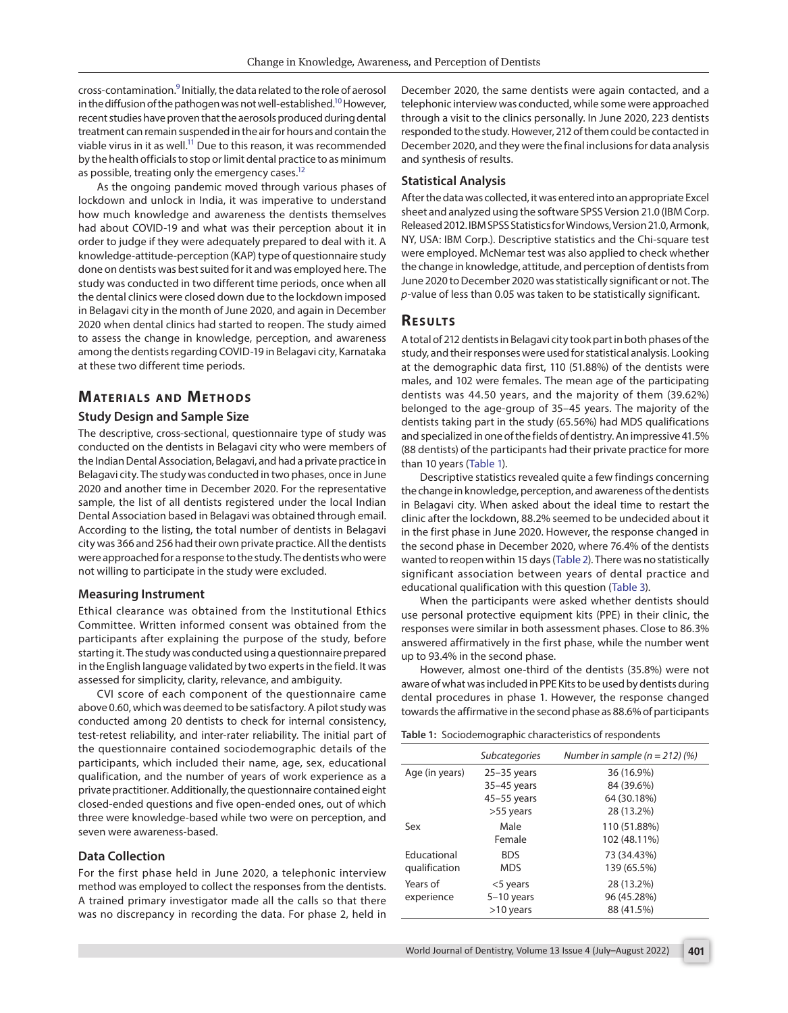cross-contamination.<sup>[9](#page-4-8)</sup> Initially, the data related to the role of aerosol in the diffusion of the pathogen was not well-established.<sup>10</sup> However, recent studies have proven that the aerosols produced during dental treatment can remain suspended in the air for hours and contain the viable virus in it as well.<sup>11</sup> Due to this reason, it was recommended by the health officials to stop or limit dental practice to as minimum as possible, treating only the emergency cases.<sup>12</sup>

As the ongoing pandemic moved through various phases of lockdown and unlock in India, it was imperative to understand how much knowledge and awareness the dentists themselves had about COVID-19 and what was their perception about it in order to judge if they were adequately prepared to deal with it. A knowledge-attitude-perception (KAP) type of questionnaire study done on dentists was best suited for it and was employed here. The study was conducted in two different time periods, once when all the dental clinics were closed down due to the lockdown imposed in Belagavi city in the month of June 2020, and again in December 2020 when dental clinics had started to reopen. The study aimed to assess the change in knowledge, perception, and awareness among the dentists regarding COVID-19 in Belagavi city, Karnataka at these two different time periods.

## **MATERIALS AND METHODS**

## **Study Design and Sample Size**

The descriptive, cross-sectional, questionnaire type of study was conducted on the dentists in Belagavi city who were members of the Indian Dental Association, Belagavi, and had a private practice in Belagavi city. The study was conducted in two phases, once in June 2020 and another time in December 2020. For the representative sample, the list of all dentists registered under the local Indian Dental Association based in Belagavi was obtained through email. According to the listing, the total number of dentists in Belagavi city was 366 and 256 had their own private practice. All the dentists were approached for a response to the study. The dentists who were not willing to participate in the study were excluded.

#### **Measuring Instrument**

Ethical clearance was obtained from the Institutional Ethics Committee. Written informed consent was obtained from the participants after explaining the purpose of the study, before starting it. The study was conducted using a questionnaire prepared in the English language validated by two experts in the field. It was assessed for simplicity, clarity, relevance, and ambiguity.

CVI score of each component of the questionnaire came above 0.60, which was deemed to be satisfactory. A pilot study was conducted among 20 dentists to check for internal consistency, test-retest reliability, and inter-rater reliability. The initial part of the questionnaire contained sociodemographic details of the participants, which included their name, age, sex, educational qualification, and the number of years of work experience as a private practitioner. Additionally, the questionnaire contained eight closed-ended questions and five open-ended ones, out of which three were knowledge-based while two were on perception, and seven were awareness-based.

#### **Data Collection**

For the first phase held in June 2020, a telephonic interview method was employed to collect the responses from the dentists. A trained primary investigator made all the calls so that there was no discrepancy in recording the data. For phase 2, held in <span id="page-1-5"></span><span id="page-1-4"></span>December 2020, the same dentists were again contacted, and a telephonic interview was conducted, while some were approached through a visit to the clinics personally. In June 2020, 223 dentists responded to the study. However, 212 of them could be contacted in December 2020, and they were the final inclusions for data analysis and synthesis of results.

#### <span id="page-1-7"></span><span id="page-1-6"></span>**Statistical Analysis**

After the data was collected, it was entered into an appropriate Excel sheet and analyzed using the software SPSS Version 21.0 (IBM Corp. Released 2012. IBM SPSS Statistics for Windows, Version 21.0, Armonk, NY, USA: IBM Corp.). Descriptive statistics and the Chi-square test were employed. McNemar test was also applied to check whether the change in knowledge, attitude, and perception of dentists from June 2020 to December 2020 was statistically significant or not. The *p*-value of less than 0.05 was taken to be statistically significant.

### **RESULTS**

A total of 212 dentists in Belagavi city took part in both phases of the study, and their responses were used for statistical analysis. Looking at the demographic data first, 110 (51.88%) of the dentists were males, and 102 were females. The mean age of the participating dentists was 44.50 years, and the majority of them (39.62%) belonged to the age-group of 35–45 years. The majority of the dentists taking part in the study (65.56%) had MDS qualifications and specialized in one of the fields of dentistry. An impressive 41.5% (88 dentists) of the participants had their private practice for more than 10 years ([Table 1](#page-1-0)).

<span id="page-1-1"></span>Descriptive statistics revealed quite a few findings concerning the change in knowledge, perception, and awareness of the dentists in Belagavi city. When asked about the ideal time to restart the clinic after the lockdown, 88.2% seemed to be undecided about it in the first phase in June 2020. However, the response changed in the second phase in December 2020, where 76.4% of the dentists wanted to reopen within 15 days ([Table 2\)](#page-2-0). There was no statistically significant association between years of dental practice and educational qualification with this question ([Table 3](#page-2-1)).

<span id="page-1-3"></span><span id="page-1-2"></span>When the participants were asked whether dentists should use personal protective equipment kits (PPE) in their clinic, the responses were similar in both assessment phases. Close to 86.3% answered affirmatively in the first phase, while the number went up to 93.4% in the second phase.

However, almost one-third of the dentists (35.8%) were not aware of what was included in PPE Kits to be used by dentists during dental procedures in phase 1. However, the response changed towards the affirmative in the second phase as 88.6% of participants

<span id="page-1-0"></span>**[Table 1:](#page-1-1)** Sociodemographic characteristics of respondents

|                | <b>Subcategories</b> | Number in sample ( $n = 212$ ) (%) |  |  |  |  |
|----------------|----------------------|------------------------------------|--|--|--|--|
| Age (in years) | $25-35$ years        | 36 (16.9%)                         |  |  |  |  |
|                | 35-45 years          | 84 (39.6%)                         |  |  |  |  |
|                | 45-55 years          | 64 (30.18%)                        |  |  |  |  |
|                | >55 years            | 28 (13.2%)                         |  |  |  |  |
| Sex            | Male                 | 110 (51.88%)                       |  |  |  |  |
|                | Female               | 102 (48.11%)                       |  |  |  |  |
| Educational    | <b>BDS</b>           | 73 (34.43%)                        |  |  |  |  |
| qualification  | <b>MDS</b>           | 139 (65.5%)                        |  |  |  |  |
| Years of       | $<$ 5 years          | 28 (13.2%)                         |  |  |  |  |
| experience     | $5-10$ years         | 96 (45.28%)                        |  |  |  |  |
|                | $>10$ years          | 88 (41.5%)                         |  |  |  |  |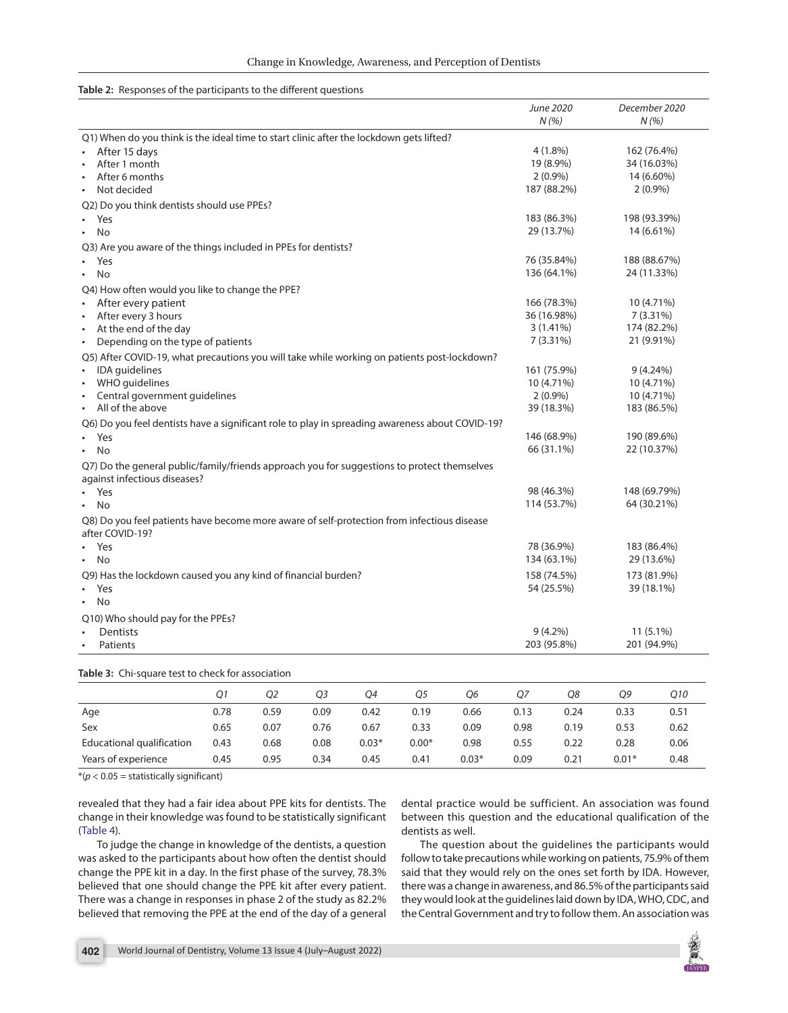#### <span id="page-2-0"></span>**[Table 2:](#page-1-2)** Responses of the participants to the different questions

|                                                                                                                             |      |                |                |      |      |            |             | June 2020<br>N(%)           | December 2020<br>N(%) |              |  |
|-----------------------------------------------------------------------------------------------------------------------------|------|----------------|----------------|------|------|------------|-------------|-----------------------------|-----------------------|--------------|--|
| Q1) When do you think is the ideal time to start clinic after the lockdown gets lifted?                                     |      |                |                |      |      |            |             |                             |                       |              |  |
| After 15 days                                                                                                               |      |                |                |      |      |            |             | $4(1.8\%)$                  | 162 (76.4%)           |              |  |
| After 1 month                                                                                                               |      |                |                |      |      |            |             | 19 (8.9%)<br>34 (16.03%)    |                       |              |  |
| After 6 months                                                                                                              |      |                |                |      |      |            |             | $2(0.9\%)$                  | 14 (6.60%)            |              |  |
| Not decided                                                                                                                 |      |                |                |      |      |            |             | 187 (88.2%)                 | $2(0.9\%)$            |              |  |
| Q2) Do you think dentists should use PPEs?                                                                                  |      |                |                |      |      |            |             |                             |                       |              |  |
| Yes                                                                                                                         |      |                |                |      |      |            |             | 183 (86.3%)                 | 198 (93.39%)          |              |  |
| No                                                                                                                          |      |                |                |      |      |            |             |                             | 14 (6.61%)            |              |  |
| Q3) Are you aware of the things included in PPEs for dentists?                                                              |      |                |                |      |      |            |             |                             |                       |              |  |
| Yes                                                                                                                         |      |                |                |      |      |            |             | 76 (35.84%)<br>188 (88.67%) |                       |              |  |
| No<br>$\bullet$                                                                                                             |      |                |                |      |      |            |             | 136 (64.1%)<br>24 (11.33%)  |                       |              |  |
| Q4) How often would you like to change the PPE?                                                                             |      |                |                |      |      |            |             |                             |                       |              |  |
| After every patient                                                                                                         |      |                |                |      |      |            |             | 166 (78.3%)<br>10 (4.71%)   |                       |              |  |
| After every 3 hours<br>$\bullet$                                                                                            |      |                |                |      |      |            | 36 (16.98%) |                             | $7(3.31\%)$           |              |  |
| At the end of the day<br>$\bullet$                                                                                          |      |                |                |      |      |            |             | $3(1.41\%)$                 |                       | 174 (82.2%)  |  |
| Depending on the type of patients<br>$\bullet$                                                                              |      |                |                |      |      |            |             | $7(3.31\%)$                 |                       | 21 (9.91%)   |  |
| Q5) After COVID-19, what precautions you will take while working on patients post-lockdown?                                 |      |                |                |      |      |            |             |                             |                       |              |  |
| IDA quidelines                                                                                                              |      |                |                |      |      |            |             | 161 (75.9%)                 |                       | 9(4.24%)     |  |
| WHO quidelines<br>$\bullet$                                                                                                 |      |                |                |      |      |            |             | 10 (4.71%)                  |                       | 10 (4.71%)   |  |
| Central government guidelines                                                                                               |      |                |                |      |      |            |             | $2(0.9\%)$<br>10 (4.71%)    |                       |              |  |
| All of the above<br>$\bullet$                                                                                               |      |                |                |      |      |            |             | 39 (18.3%)                  | 183 (86.5%)           |              |  |
| Q6) Do you feel dentists have a significant role to play in spreading awareness about COVID-19?                             |      |                |                |      |      |            |             |                             |                       |              |  |
| Yes                                                                                                                         |      |                |                |      |      |            | 146 (68.9%) |                             | 190 (89.6%)           |              |  |
| <b>No</b><br>$\bullet$                                                                                                      |      |                |                |      |      |            | 66 (31.1%)  |                             | 22 (10.37%)           |              |  |
| Q7) Do the general public/family/friends approach you for suggestions to protect themselves<br>against infectious diseases? |      |                |                |      |      |            |             |                             |                       |              |  |
| Yes<br>$\bullet$                                                                                                            |      |                |                |      |      |            |             | 98 (46.3%)                  |                       | 148 (69.79%) |  |
| <b>No</b>                                                                                                                   |      |                |                |      |      |            | 114 (53.7%) |                             | 64 (30.21%)           |              |  |
| Q8) Do you feel patients have become more aware of self-protection from infectious disease<br>after COVID-19?               |      |                |                |      |      |            |             |                             |                       |              |  |
| Yes                                                                                                                         |      |                |                |      |      |            | 78 (36.9%)  |                             | 183 (86.4%)           |              |  |
| No<br>$\bullet$                                                                                                             |      |                |                |      |      |            | 134 (63.1%) |                             | 29 (13.6%)            |              |  |
| Q9) Has the lockdown caused you any kind of financial burden?                                                               |      |                |                |      |      |            | 158 (74.5%) |                             | 173 (81.9%)           |              |  |
| Yes                                                                                                                         |      |                |                |      |      | 54 (25.5%) |             | 39 (18.1%)                  |                       |              |  |
| <b>No</b>                                                                                                                   |      |                |                |      |      |            |             |                             |                       |              |  |
| Q10) Who should pay for the PPEs?                                                                                           |      |                |                |      |      |            |             |                             |                       |              |  |
| Dentists                                                                                                                    |      |                |                |      |      |            |             | $9(4.2\%)$                  |                       | $11(5.1\%)$  |  |
| Patients<br>$\bullet$                                                                                                       |      |                |                |      |      |            | 203 (95.8%) |                             | 201 (94.9%)           |              |  |
| <b>Table 3:</b> Chi-square test to check for association                                                                    |      |                |                |      |      |            |             |                             |                       |              |  |
|                                                                                                                             | Q1   | Q <sub>2</sub> | Q <sub>3</sub> | Q4   | Q5   | Q6         | Q7          | Q8                          | O <sub>9</sub>        | Q10          |  |
| Age                                                                                                                         | 0.78 | 0.59           | 0.09           | 0.42 | 0.19 | 0.66       | 0.13        | 0.24                        | 0.33                  | 0.51         |  |
| Sex                                                                                                                         | 0.65 | 0.07           | 0.76           | 0.67 | 0.33 | 0.09       | 0.98        | 0.19                        | 0.53                  | 0.62         |  |

<span id="page-2-1"></span>Educational qualification 0.43 0.68 0.08 0.03\* 0.00\* 0.98 0.55 0.22 0.28 0.06 Years of experience 0.45 0.95 0.34 0.45 0.41 0.03\* 0.09 0.21 0.01\* 0.48

 $*(p < 0.05 =$  statistically significant)

revealed that they had a fair idea about PPE kits for dentists. The change in their knowledge was found to be statistically significant [\(Table 4\)](#page-3-0).

<span id="page-2-2"></span>To judge the change in knowledge of the dentists, a question was asked to the participants about how often the dentist should change the PPE kit in a day. In the first phase of the survey, 78.3% believed that one should change the PPE kit after every patient. There was a change in responses in phase 2 of the study as 82.2% believed that removing the PPE at the end of the day of a general

dental practice would be sufficient. An association was found between this question and the educational qualification of the dentists as well.

The question about the guidelines the participants would follow to take precautions while working on patients, 75.9% of them said that they would rely on the ones set forth by IDA. However, there was a change in awareness, and 86.5% of the participants said they would look at the guidelines laid down by IDA, WHO, CDC, and the Central Government and try to follow them. An association was

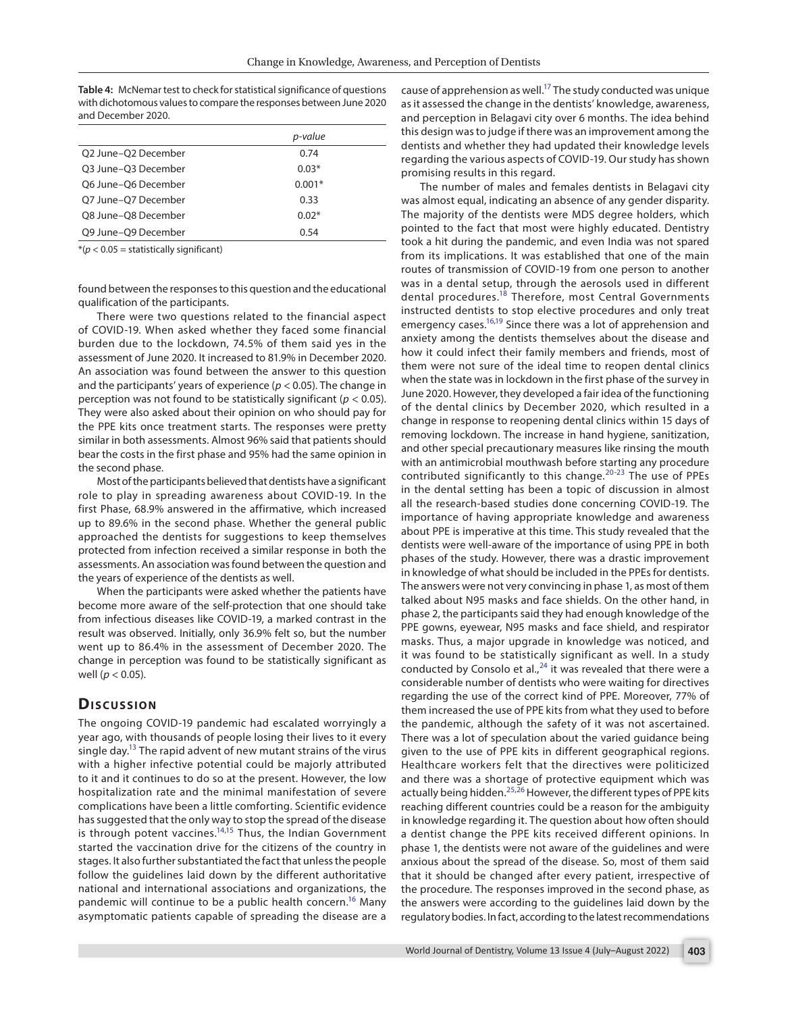<span id="page-3-0"></span>**[Table 4:](#page-2-2)** McNemar test to check for statistical significance of questions with dichotomous values to compare the responses between June 2020 and December 2020.

|                     | p-value  |
|---------------------|----------|
| O2 June-O2 December | 0.74     |
| O3 June-O3 December | $0.03*$  |
| O6 June-O6 December | $0.001*$ |
| O7 June-O7 December | 0.33     |
| O8 June-O8 December | $0.02*$  |
| O9 June-O9 December | 0.54     |

 $*(p < 0.05 =$  statistically significant)

found between the responses to this question and the educational qualification of the participants.

There were two questions related to the financial aspect of COVID-19. When asked whether they faced some financial burden due to the lockdown, 74.5% of them said yes in the assessment of June 2020. It increased to 81.9% in December 2020. An association was found between the answer to this question and the participants' years of experience (*p* < 0.05). The change in perception was not found to be statistically significant (*p* < 0.05). They were also asked about their opinion on who should pay for the PPE kits once treatment starts. The responses were pretty similar in both assessments. Almost 96% said that patients should bear the costs in the first phase and 95% had the same opinion in the second phase.

Most of the participants believed that dentists have a significant role to play in spreading awareness about COVID-19. In the first Phase, 68.9% answered in the affirmative, which increased up to 89.6% in the second phase. Whether the general public approached the dentists for suggestions to keep themselves protected from infection received a similar response in both the assessments. An association was found between the question and the years of experience of the dentists as well.

When the participants were asked whether the patients have become more aware of the self-protection that one should take from infectious diseases like COVID-19, a marked contrast in the result was observed. Initially, only 36.9% felt so, but the number went up to 86.4% in the assessment of December 2020. The change in perception was found to be statistically significant as well (*p* < 0.05).

## **Dis c u s sio n**

<span id="page-3-8"></span><span id="page-3-7"></span><span id="page-3-6"></span><span id="page-3-5"></span><span id="page-3-4"></span><span id="page-3-3"></span>The ongoing COVID-19 pandemic had escalated worryingly a year ago, with thousands of people losing their lives to it every single day.<sup>13</sup> The rapid advent of new mutant strains of the virus with a higher infective potential could be majorly attributed to it and it continues to do so at the present. However, the low hospitalization rate and the minimal manifestation of severe complications have been a little comforting. Scientific evidence has suggested that the only way to stop the spread of the disease is through potent vaccines.<sup>14,15</sup> Thus, the Indian Government started the vaccination drive for the citizens of the country in stages. It also further substantiated the fact that unless the people follow the guidelines laid down by the different authoritative national and international associations and organizations, the pandemic will continue to be a public health concern.<sup>16</sup> Many asymptomatic patients capable of spreading the disease are a <span id="page-3-9"></span>cause of apprehension as well.<sup>17</sup> The study conducted was unique as it assessed the change in the dentists' knowledge, awareness, and perception in Belagavi city over 6 months. The idea behind this design was to judge if there was an improvement among the dentists and whether they had updated their knowledge levels regarding the various aspects of COVID-19. Our study has shown promising results in this regard.

<span id="page-3-12"></span><span id="page-3-11"></span><span id="page-3-10"></span><span id="page-3-2"></span><span id="page-3-1"></span>The number of males and females dentists in Belagavi city was almost equal, indicating an absence of any gender disparity. The majority of the dentists were MDS degree holders, which pointed to the fact that most were highly educated. Dentistry took a hit during the pandemic, and even India was not spared from its implications. It was established that one of the main routes of transmission of COVID-19 from one person to another was in a dental setup, through the aerosols used in different dental procedures.<sup>[18](#page-5-1)</sup> Therefore, most Central Governments instructed dentists to stop elective procedures and only treat emergency cases.<sup>16,19</sup> Since there was a lot of apprehension and anxiety among the dentists themselves about the disease and how it could infect their family members and friends, most of them were not sure of the ideal time to reopen dental clinics when the state was in lockdown in the first phase of the survey in June 2020. However, they developed a fair idea of the functioning of the dental clinics by December 2020, which resulted in a change in response to reopening dental clinics within 15 days of removing lockdown. The increase in hand hygiene, sanitization, and other special precautionary measures like rinsing the mouth with an antimicrobial mouthwash before starting any procedure contributed significantly to this change.[20](#page-5-4)[-23](#page-5-5) The use of PPEs in the dental setting has been a topic of discussion in almost all the research-based studies done concerning COVID-19. The importance of having appropriate knowledge and awareness about PPE is imperative at this time. This study revealed that the dentists were well-aware of the importance of using PPE in both phases of the study. However, there was a drastic improvement in knowledge of what should be included in the PPEs for dentists. The answers were not very convincing in phase 1, as most of them talked about N95 masks and face shields. On the other hand, in phase 2, the participants said they had enough knowledge of the PPE gowns, eyewear, N95 masks and face shield, and respirator masks. Thus, a major upgrade in knowledge was noticed, and it was found to be statistically significant as well. In a study conducted by Consolo et al., $^{24}$  $^{24}$  $^{24}$  it was revealed that there were a considerable number of dentists who were waiting for directives regarding the use of the correct kind of PPE. Moreover, 77% of them increased the use of PPE kits from what they used to before the pandemic, although the safety of it was not ascertained. There was a lot of speculation about the varied guidance being given to the use of PPE kits in different geographical regions. Healthcare workers felt that the directives were politicized and there was a shortage of protective equipment which was actually being hidden.<sup>[25](#page-5-7),[26](#page-5-8)</sup> However, the different types of PPE kits reaching different countries could be a reason for the ambiguity in knowledge regarding it. The question about how often should a dentist change the PPE kits received different opinions. In phase 1, the dentists were not aware of the guidelines and were anxious about the spread of the disease. So, most of them said that it should be changed after every patient, irrespective of the procedure. The responses improved in the second phase, as the answers were according to the guidelines laid down by the regulatory bodies. In fact, according to the latest recommendations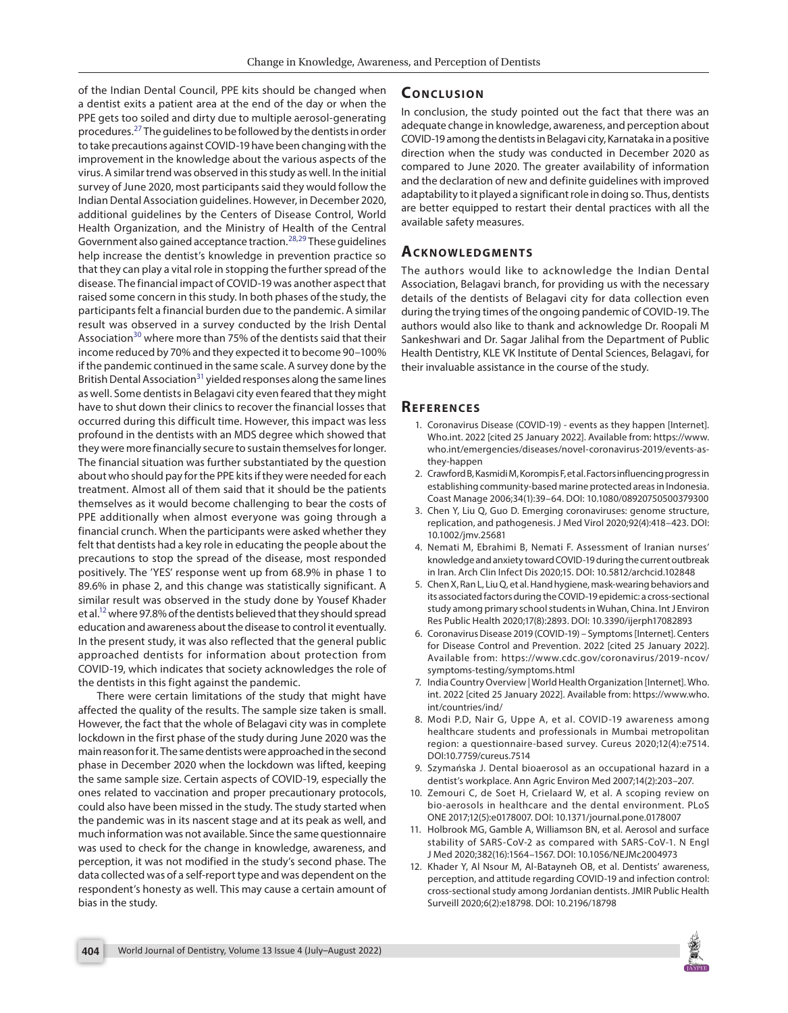<span id="page-4-12"></span>of the Indian Dental Council, PPE kits should be changed when a dentist exits a patient area at the end of the day or when the PPE gets too soiled and dirty due to multiple aerosol-generating procedures.[27](#page-5-12) The guidelines to be followed by the dentists in order to take precautions against COVID-19 have been changing with the improvement in the knowledge about the various aspects of the virus. A similar trend was observed in this study as well. In the initial survey of June 2020, most participants said they would follow the Indian Dental Association guidelines. However, in December 2020, additional guidelines by the Centers of Disease Control, World Health Organization, and the Ministry of Health of the Central Government also gained acceptance traction.<sup>[28](#page-5-13),29</sup> These guidelines help increase the dentist's knowledge in prevention practice so that they can play a vital role in stopping the further spread of the disease. The financial impact of COVID-19 was another aspect that raised some concern in this study. In both phases of the study, the participants felt a financial burden due to the pandemic. A similar result was observed in a survey conducted by the Irish Dental Association<sup>[30](#page-5-15)</sup> where more than 75% of the dentists said that their income reduced by 70% and they expected it to become 90–100% if the pandemic continued in the same scale. A survey done by the British Dental Association<sup>31</sup> yielded responses along the same lines as well. Some dentists in Belagavi city even feared that they might have to shut down their clinics to recover the financial losses that occurred during this difficult time. However, this impact was less profound in the dentists with an MDS degree which showed that they were more financially secure to sustain themselves for longer. The financial situation was further substantiated by the question about who should pay for the PPE kits if they were needed for each treatment. Almost all of them said that it should be the patients themselves as it would become challenging to bear the costs of PPE additionally when almost everyone was going through a financial crunch. When the participants were asked whether they felt that dentists had a key role in educating the people about the precautions to stop the spread of the disease, most responded positively. The 'YES' response went up from 68.9% in phase 1 to 89.6% in phase 2, and this change was statistically significant. A similar result was observed in the study done by Yousef Khader et al[.12](#page-4-11) where 97.8% of the dentists believed that they should spread education and awareness about the disease to control it eventually. In the present study, it was also reflected that the general public approached dentists for information about protection from COVID-19, which indicates that society acknowledges the role of the dentists in this fight against the pandemic.

There were certain limitations of the study that might have affected the quality of the results. The sample size taken is small. However, the fact that the whole of Belagavi city was in complete lockdown in the first phase of the study during June 2020 was the main reason for it. The same dentists were approached in the second phase in December 2020 when the lockdown was lifted, keeping the same sample size. Certain aspects of COVID-19, especially the ones related to vaccination and proper precautionary protocols, could also have been missed in the study. The study started when the pandemic was in its nascent stage and at its peak as well, and much information was not available. Since the same questionnaire was used to check for the change in knowledge, awareness, and perception, it was not modified in the study's second phase. The data collected was of a self-report type and was dependent on the respondent's honesty as well. This may cause a certain amount of bias in the study.

## **CONCLUSION**

In conclusion, the study pointed out the fact that there was an adequate change in knowledge, awareness, and perception about COVID-19 among the dentists in Belagavi city, Karnataka in a positive direction when the study was conducted in December 2020 as compared to June 2020. The greater availability of information and the declaration of new and definite guidelines with improved adaptability to it played a significant role in doing so. Thus, dentists are better equipped to restart their dental practices with all the available safety measures.

## <span id="page-4-14"></span><span id="page-4-13"></span>**ACKNOWLEDGMENTS**

<span id="page-4-15"></span>The authors would like to acknowledge the Indian Dental Association, Belagavi branch, for providing us with the necessary details of the dentists of Belagavi city for data collection even during the trying times of the ongoing pandemic of COVID-19. The authors would also like to thank and acknowledge Dr. Roopali M Sankeshwari and Dr. Sagar Jalihal from the Department of Public Health Dentistry, KLE VK Institute of Dental Sciences, Belagavi, for their invaluable assistance in the course of the study.

#### <span id="page-4-16"></span>**REFERENCES**

- <span id="page-4-2"></span>[1.](#page-0-0) Coronavirus Disease (COVID-19) - events as they happen [Internet]. Who.int. 2022 [cited 25 January 2022]. Available from: [https://www.](https://www.who.int/emergencies/diseases/novel-coronavirus-2019/events-as-they-happen) [who.int/emergencies/diseases/novel-coronavirus-2019/events-as](https://www.who.int/emergencies/diseases/novel-coronavirus-2019/events-as-they-happen)[they-happen](https://www.who.int/emergencies/diseases/novel-coronavirus-2019/events-as-they-happen)
- <span id="page-4-3"></span>[2.](#page-0-1) Crawford B, Kasmidi M, Korompis F, et al. Factors influencing progress in establishing community-based marine protected areas in Indonesia. Coast Manage 2006;34(1):39–64. DOI: [10.1080/08920750500379300](https://doi.org/10.1080/08920750500379300)
- <span id="page-4-4"></span>[3.](#page-0-2) Chen Y, Liu Q, Guo D. Emerging coronaviruses: genome structure, replication, and pathogenesis. J Med Virol 2020;92(4):418–423. DOI: [10.1002/jmv.25681](https://doi.org/10.1002/jmv.25681)
- <span id="page-4-5"></span>[4.](#page-0-3) Nemati M, Ebrahimi B, Nemati F. Assessment of Iranian nurses' knowledge and anxiety toward COVID-19 during the current outbreak in Iran. Arch Clin Infect Dis 2020;15. DOI: [10.5812/archcid.102848](https://doi.org/10.5812/archcid.102848)
- <span id="page-4-6"></span>[5.](#page-0-4) Chen X, Ran L, Liu Q, et al. Hand hygiene, mask-wearing behaviors and its associated factors during the COVID-19 epidemic: a cross-sectional study among primary school students in Wuhan, China. Int J Environ Res Public Health 2020;17(8):2893. DOI: [10.3390/ijerph17082893](https://doi.org/10.3390/ijerph17082893)
- <span id="page-4-7"></span>[6.](#page-0-5) Coronavirus Disease 2019 (COVID-19) – Symptoms [Internet]. Centers for Disease Control and Prevention. 2022 [cited 25 January 2022]. Available from: [https://www.cdc.gov/coronavirus/2019-ncov/](https://www.cdc.gov/coronavirus/2019-ncov/symptoms-testing/symptoms.html) [symptoms-testing/symptoms.html](https://www.cdc.gov/coronavirus/2019-ncov/symptoms-testing/symptoms.html)
- <span id="page-4-0"></span>[7.](#page-0-6) India Country Overview | World Health Organization [Internet]. Who. int. 2022 [cited 25 January 2022]. Available from: https://www.who. int/countries/ind/
- <span id="page-4-1"></span>[8.](#page-0-7) Modi P.D, Nair G, Uppe A, et al. COVID-19 awareness among healthcare students and professionals in Mumbai metropolitan region: a questionnaire-based survey. Cureus 2020;12(4):e7514. DOI[:10.7759/cureus.7514](https://doi.org/10.7759/cureus.7514)
- <span id="page-4-8"></span>[9.](#page-1-4) Szymańska J. Dental bioaerosol as an occupational hazard in a dentist's workplace. Ann Agric Environ Med 2007;14(2):203–207.
- <span id="page-4-9"></span>[10.](#page-1-5) Zemouri C, de Soet H, Crielaard W, et al. A scoping review on bio-aerosols in healthcare and the dental environment. PLoS ONE 2017;12(5):e0178007. DOI: [10.1371/journal.pone.0178007](https://doi.org/10.1371/journal.pone.0178007)
- <span id="page-4-10"></span>[11.](#page-1-6) Holbrook MG, Gamble A, Williamson BN, et al. Aerosol and surface stability of SARS-CoV-2 as compared with SARS-CoV-1. N Engl J Med 2020;382(16):1564–1567. DOI: [10.1056/NEJMc2004973](https://doi.org/10.1056/NEJMc2004973)
- <span id="page-4-11"></span>[12.](#page-1-7) Khader Y, Al Nsour M, Al-Batayneh OB, et al. Dentists' awareness, perception, and attitude regarding COVID-19 and infection control: cross-sectional study among Jordanian dentists. JMIR Public Health Surveill 2020;6(2):e18798. DOI: [10.2196/18798](https://doi.org/10.2196/18798)